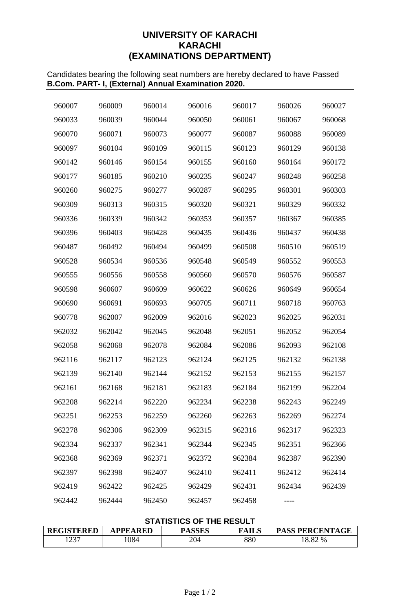# **UNIVERSITY OF KARACHI KARACHI (EXAMINATIONS DEPARTMENT)**

Candidates bearing the following seat numbers are hereby declared to have Passed **B.Com. PART- I, (External) Annual Examination 2020.**

| 960007 | 960009 | 960014 | 960016 | 960017 | 960026 | 960027 |
|--------|--------|--------|--------|--------|--------|--------|
| 960033 | 960039 | 960044 | 960050 | 960061 | 960067 | 960068 |
| 960070 | 960071 | 960073 | 960077 | 960087 | 960088 | 960089 |
| 960097 | 960104 | 960109 | 960115 | 960123 | 960129 | 960138 |
| 960142 | 960146 | 960154 | 960155 | 960160 | 960164 | 960172 |
| 960177 | 960185 | 960210 | 960235 | 960247 | 960248 | 960258 |
| 960260 | 960275 | 960277 | 960287 | 960295 | 960301 | 960303 |
| 960309 | 960313 | 960315 | 960320 | 960321 | 960329 | 960332 |
| 960336 | 960339 | 960342 | 960353 | 960357 | 960367 | 960385 |
| 960396 | 960403 | 960428 | 960435 | 960436 | 960437 | 960438 |
| 960487 | 960492 | 960494 | 960499 | 960508 | 960510 | 960519 |
| 960528 | 960534 | 960536 | 960548 | 960549 | 960552 | 960553 |
| 960555 | 960556 | 960558 | 960560 | 960570 | 960576 | 960587 |
| 960598 | 960607 | 960609 | 960622 | 960626 | 960649 | 960654 |
| 960690 | 960691 | 960693 | 960705 | 960711 | 960718 | 960763 |
| 960778 | 962007 | 962009 | 962016 | 962023 | 962025 | 962031 |
| 962032 | 962042 | 962045 | 962048 | 962051 | 962052 | 962054 |
| 962058 | 962068 | 962078 | 962084 | 962086 | 962093 | 962108 |
| 962116 | 962117 | 962123 | 962124 | 962125 | 962132 | 962138 |
| 962139 | 962140 | 962144 | 962152 | 962153 | 962155 | 962157 |
| 962161 | 962168 | 962181 | 962183 | 962184 | 962199 | 962204 |
| 962208 | 962214 | 962220 | 962234 | 962238 | 962243 | 962249 |
| 962251 | 962253 | 962259 | 962260 | 962263 | 962269 | 962274 |
| 962278 | 962306 | 962309 | 962315 | 962316 | 962317 | 962323 |
| 962334 | 962337 | 962341 | 962344 | 962345 | 962351 | 962366 |
| 962368 | 962369 | 962371 | 962372 | 962384 | 962387 | 962390 |
| 962397 | 962398 | 962407 | 962410 | 962411 | 962412 | 962414 |
| 962419 | 962422 | 962425 | 962429 | 962431 | 962434 | 962439 |
| 962442 | 962444 | 962450 | 962457 | 962458 |        |        |

## **STATISTICS OF THE RESULT**

| <b>REGISTERED</b> | <b>APPEARED</b> | <b>PASSES</b> | <b>FAILS</b> | <b>PASS PERCENTAGE</b> |
|-------------------|-----------------|---------------|--------------|------------------------|
| 1237              | 084             | 204           | 880          | 18.82 %                |